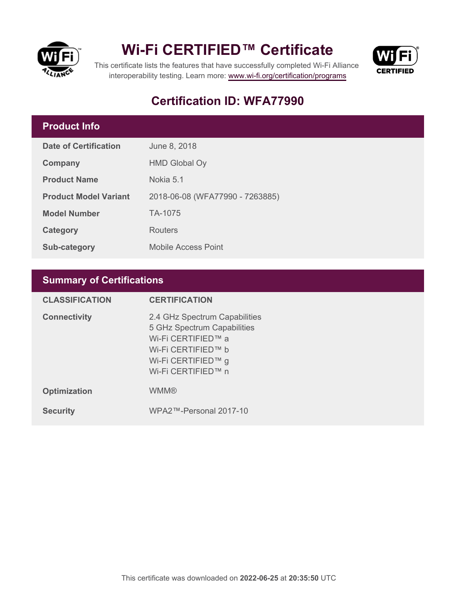

# **Wi-Fi CERTIFIED™ Certificate**



This certificate lists the features that have successfully completed Wi-Fi Alliance interoperability testing. Learn more:<www.wi-fi.org/certification/programs>

# **Certification ID: WFA77990**

## **Product Info**

| Date of Certification        | June 8, 2018                    |
|------------------------------|---------------------------------|
| Company                      | <b>HMD Global Oy</b>            |
| <b>Product Name</b>          | Nokia 5.1                       |
| <b>Product Model Variant</b> | 2018-06-08 (WFA77990 - 7263885) |
| <b>Model Number</b>          | TA-1075                         |
| Category                     | Routers                         |
| Sub-category                 | <b>Mobile Access Point</b>      |

# **Summary of Certifications**

| <b>CLASSIFICATION</b> | <b>CERTIFICATION</b>                                                                                                                                 |
|-----------------------|------------------------------------------------------------------------------------------------------------------------------------------------------|
| <b>Connectivity</b>   | 2.4 GHz Spectrum Capabilities<br>5 GHz Spectrum Capabilities<br>Wi-Fi CERTIFIED™ a<br>Wi-Fi CERTIFIED™ b<br>Wi-Fi CERTIFIED™ g<br>Wi-Fi CERTIFIED™ n |
| <b>Optimization</b>   | <b>WMM®</b>                                                                                                                                          |
| <b>Security</b>       | WPA2™-Personal 2017-10                                                                                                                               |